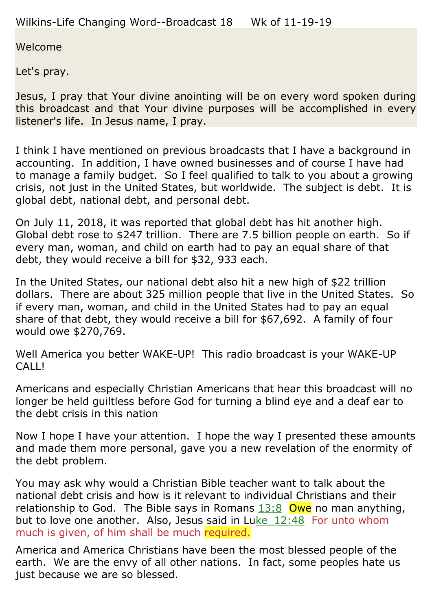Welcome

Let's pray.

Jesus, I pray that Your divine anointing will be on every word spoken during this broadcast and that Your divine purposes will be accomplished in every listener's life. In Jesus name, I pray.

I think I have mentioned on previous broadcasts that I have a background in accounting. In addition, I have owned businesses and of course I have had to manage a family budget. So I feel qualified to talk to you about a growing crisis, not just in the United States, but worldwide. The subject is debt. It is global debt, national debt, and personal debt.

On July 11, 2018, it was reported that global debt has hit another high. Global debt rose to \$247 trillion. There are 7.5 billion people on earth. So if every man, woman, and child on earth had to pay an equal share of that debt, they would receive a bill for \$32, 933 each.

In the United States, our national debt also hit a new high of \$22 trillion dollars. There are about 325 million people that live in the United States. So if every man, woman, and child in the United States had to pay an equal share of that debt, they would receive a bill for \$67,692. A family of four would owe \$270,769.

Well America you better WAKE-UP! This radio broadcast is your WAKE-UP CALL!

Americans and especially Christian Americans that hear this broadcast will no longer be held guiltless before God for turning a blind eye and a deaf ear to the debt crisis in this nation

Now I hope I have your attention. I hope the way I presented these amounts and made them more personal, gave you a new revelation of the enormity of the debt problem.

You may ask why would a Christian Bible teacher want to talk about the national debt crisis and how is it relevant to individual Christians and their relationship to God. The Bible says in Romans  $13:8$  Owe no man anything, but to love one another. Also, Jesus said in Luke  $12:48$  For unto whom much is given, of him shall be much required.

America and America Christians have been the most blessed people of the earth. We are the envy of all other nations. In fact, some peoples hate us just because we are so blessed.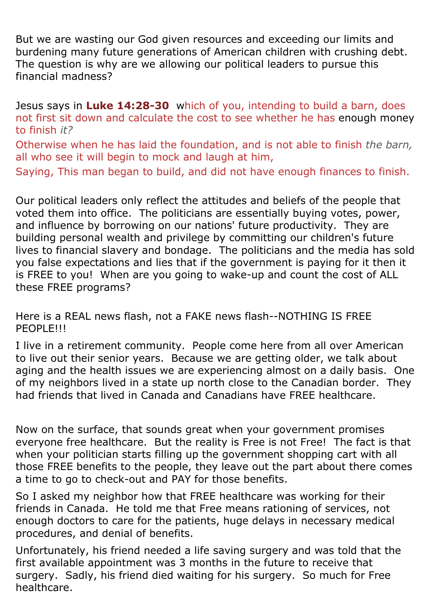But we are wasting our God given resources and exceeding our limits and burdening many future generations of American children with crushing debt. The question is why are we allowing our political leaders to pursue this financial madness?

Jesus says in **Luke 14:28-30** which of you, intending to build a barn, does not first sit down and calculate the cost to see whether he has enough money to finish *it?*

Otherwise when he has laid the foundation, and is not able to finish *the barn,* all who see it will begin to mock and laugh at him, Saying, This man began to build, and did not have enough finances to finish.

Our political leaders only reflect the attitudes and beliefs of the people that voted them into office. The politicians are essentially buying votes, power, and influence by borrowing on our nations' future productivity. They are building personal wealth and privilege by committing our children's future lives to financial slavery and bondage. The politicians and the media has sold you false expectations and lies that if the government is paying for it then it is FREE to you! When are you going to wake-up and count the cost of ALL these FREE programs?

Here is a REAL news flash, not a FAKE news flash--NOTHING IS FREE PEOPLE!!!

I live in a retirement community. People come here from all over American to live out their senior years. Because we are getting older, we talk about aging and the health issues we are experiencing almost on a daily basis. One of my neighbors lived in a state up north close to the Canadian border. They had friends that lived in Canada and Canadians have FREE healthcare.

Now on the surface, that sounds great when your government promises everyone free healthcare. But the reality is Free is not Free! The fact is that when your politician starts filling up the government shopping cart with all those FREE benefits to the people, they leave out the part about there comes a time to go to check-out and PAY for those benefits.

So I asked my neighbor how that FREE healthcare was working for their friends in Canada. He told me that Free means rationing of services, not enough doctors to care for the patients, huge delays in necessary medical procedures, and denial of benefits.

Unfortunately, his friend needed a life saving surgery and was told that the first available appointment was 3 months in the future to receive that surgery. Sadly, his friend died waiting for his surgery. So much for Free healthcare.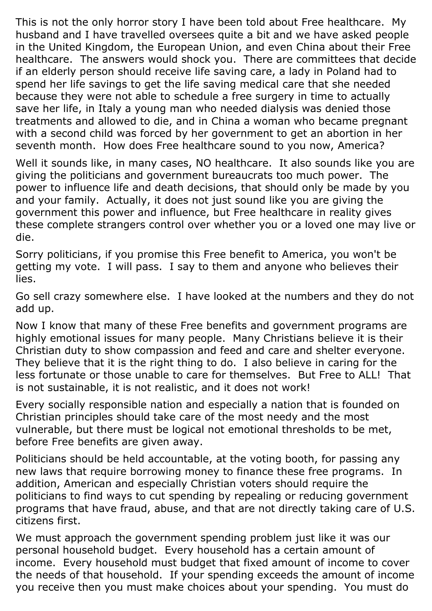This is not the only horror story I have been told about Free healthcare. My husband and I have travelled oversees quite a bit and we have asked people in the United Kingdom, the European Union, and even China about their Free healthcare. The answers would shock you. There are committees that decide if an elderly person should receive life saving care, a lady in Poland had to spend her life savings to get the life saving medical care that she needed because they were not able to schedule a free surgery in time to actually save her life, in Italy a young man who needed dialysis was denied those treatments and allowed to die, and in China a woman who became pregnant with a second child was forced by her government to get an abortion in her seventh month. How does Free healthcare sound to you now, America?

Well it sounds like, in many cases, NO healthcare. It also sounds like you are giving the politicians and government bureaucrats too much power. The power to influence life and death decisions, that should only be made by you and your family. Actually, it does not just sound like you are giving the government this power and influence, but Free healthcare in reality gives these complete strangers control over whether you or a loved one may live or die.

Sorry politicians, if you promise this Free benefit to America, you won't be getting my vote. I will pass. I say to them and anyone who believes their lies.

Go sell crazy somewhere else. I have looked at the numbers and they do not add up.

Now I know that many of these Free benefits and government programs are highly emotional issues for many people. Many Christians believe it is their Christian duty to show compassion and feed and care and shelter everyone. They believe that it is the right thing to do. I also believe in caring for the less fortunate or those unable to care for themselves. But Free to ALL! That is not sustainable, it is not realistic, and it does not work!

Every socially responsible nation and especially a nation that is founded on Christian principles should take care of the most needy and the most vulnerable, but there must be logical not emotional thresholds to be met, before Free benefits are given away.

Politicians should be held accountable, at the voting booth, for passing any new laws that require borrowing money to finance these free programs. In addition, American and especially Christian voters should require the politicians to find ways to cut spending by repealing or reducing government programs that have fraud, abuse, and that are not directly taking care of U.S. citizens first.

We must approach the government spending problem just like it was our personal household budget. Every household has a certain amount of income. Every household must budget that fixed amount of income to cover the needs of that household. If your spending exceeds the amount of income you receive then you must make choices about your spending. You must do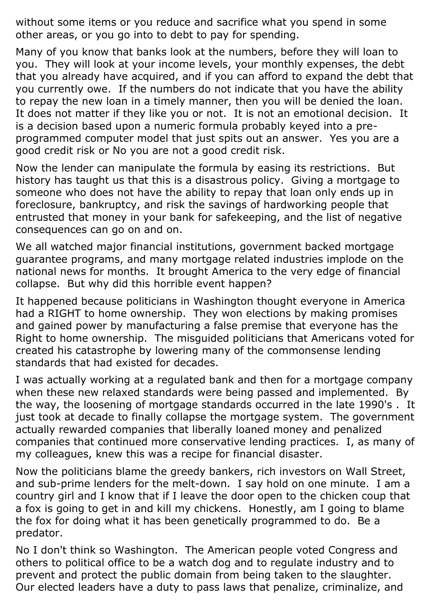without some items or you reduce and sacrifice what you spend in some other areas, or you go into to debt to pay for spending.

Many of you know that banks look at the numbers, before they will loan to you. They will look at your income levels, your monthly expenses, the debt that you already have acquired, and if you can afford to expand the debt that you currently owe. If the numbers do not indicate that you have the ability to repay the new loan in a timely manner, then you will be denied the loan. It does not matter if they like you or not. It is not an emotional decision. It is a decision based upon a numeric formula probably keyed into a preprogrammed computer model that just spits out an answer. Yes you are a good credit risk or No you are not a good credit risk.

Now the lender can manipulate the formula by easing its restrictions. But history has taught us that this is a disastrous policy. Giving a mortgage to someone who does not have the ability to repay that loan only ends up in foreclosure, bankruptcy, and risk the savings of hardworking people that entrusted that money in your bank for safekeeping, and the list of negative consequences can go on and on.

We all watched major financial institutions, government backed mortgage guarantee programs, and many mortgage related industries implode on the national news for months. It brought America to the very edge of financial collapse. But why did this horrible event happen?

It happened because politicians in Washington thought everyone in America had a RIGHT to home ownership. They won elections by making promises and gained power by manufacturing a false premise that everyone has the Right to home ownership. The misguided politicians that Americans voted for created his catastrophe by lowering many of the commonsense lending standards that had existed for decades.

I was actually working at a regulated bank and then for a mortgage company when these new relaxed standards were being passed and implemented. By the way, the loosening of mortgage standards occurred in the late 1990's . It just took at decade to finally collapse the mortgage system. The government actually rewarded companies that liberally loaned money and penalized companies that continued more conservative lending practices. I, as many of my colleagues, knew this was a recipe for financial disaster.

Now the politicians blame the greedy bankers, rich investors on Wall Street, and sub-prime lenders for the melt-down. I say hold on one minute. I am a country girl and I know that if I leave the door open to the chicken coup that a fox is going to get in and kill my chickens. Honestly, am I going to blame the fox for doing what it has been genetically programmed to do. Be a predator.

No I don't think so Washington. The American people voted Congress and others to political office to be a watch dog and to regulate industry and to prevent and protect the public domain from being taken to the slaughter. Our elected leaders have a duty to pass laws that penalize, criminalize, and